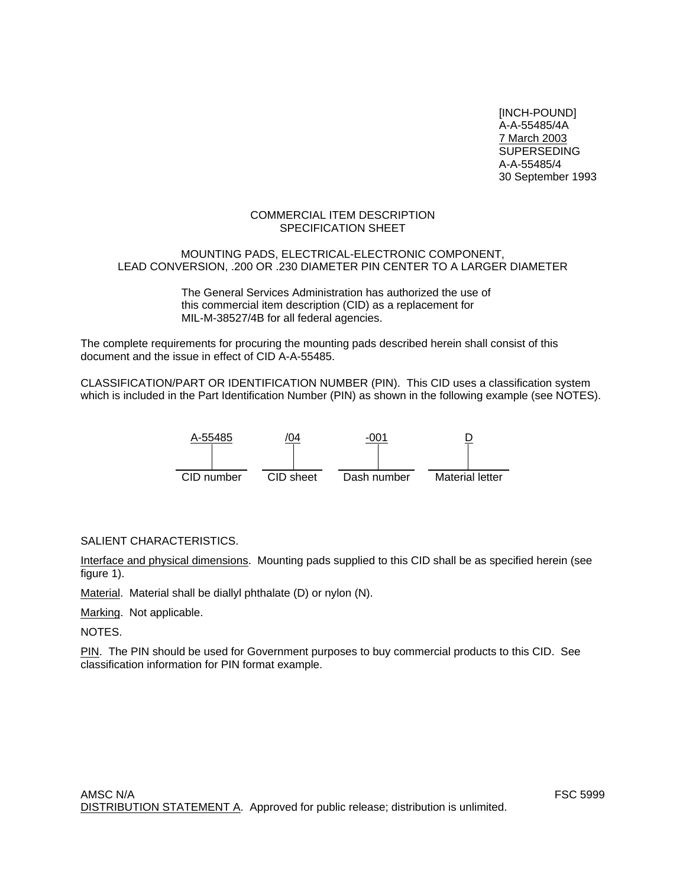[INCH-POUND] A-A-55485/4A 7 March 2003 SUPERSEDING A-A-55485/4 30 September 1993

## COMMERCIAL ITEM DESCRIPTION SPECIFICATION SHEET

## MOUNTING PADS, ELECTRICAL-ELECTRONIC COMPONENT, LEAD CONVERSION, .200 OR .230 DIAMETER PIN CENTER TO A LARGER DIAMETER

The General Services Administration has authorized the use of this commercial item description (CID) as a replacement for MIL-M-38527/4B for all federal agencies.

The complete requirements for procuring the mounting pads described herein shall consist of this document and the issue in effect of CID A-A-55485.

CLASSIFICATION/PART OR IDENTIFICATION NUMBER (PIN). This CID uses a classification system which is included in the Part Identification Number (PIN) as shown in the following example (see NOTES).



# SALIENT CHARACTERISTICS.

Interface and physical dimensions. Mounting pads supplied to this CID shall be as specified herein (see figure 1).

Material. Material shall be diallyl phthalate (D) or nylon (N).

Marking. Not applicable.

NOTES.

PIN. The PIN should be used for Government purposes to buy commercial products to this CID. See classification information for PIN format example.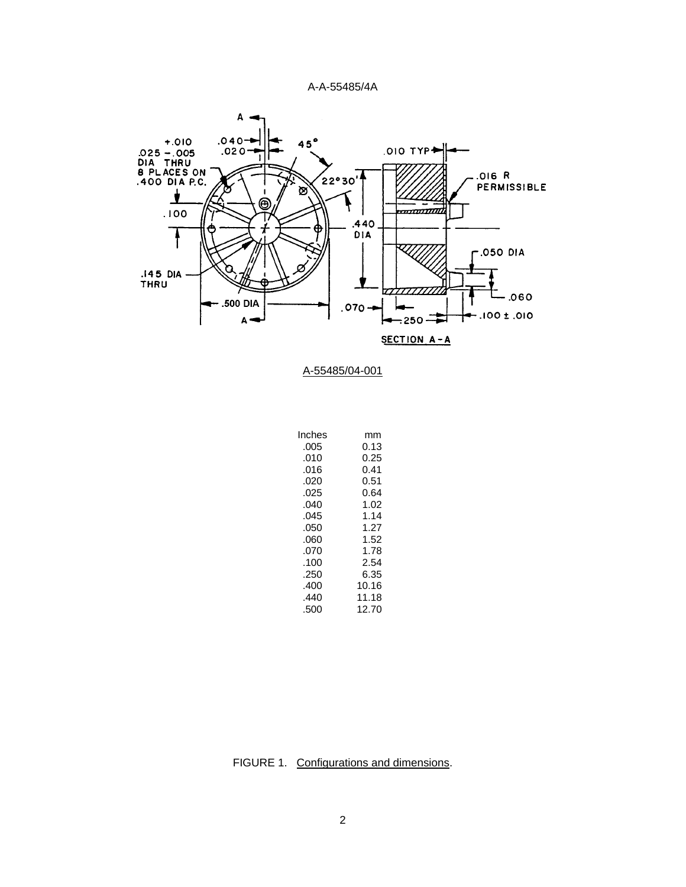



| Inches | mm    |
|--------|-------|
| .005   | 0.13  |
| .010   | 0.25  |
| .016   | 0.41  |
| .020   | 0.51  |
| .025   | 0.64  |
| .040   | 1.02  |
| .045   | 1.14  |
| .050   | 1.27  |
| .060   | 1.52  |
| .070   | 1.78  |
| .100   | 2.54  |
| .250   | 6.35  |
| .400   | 10.16 |
| .440   | 11.18 |
| .500   | 12.70 |

FIGURE 1. Configurations and dimensions.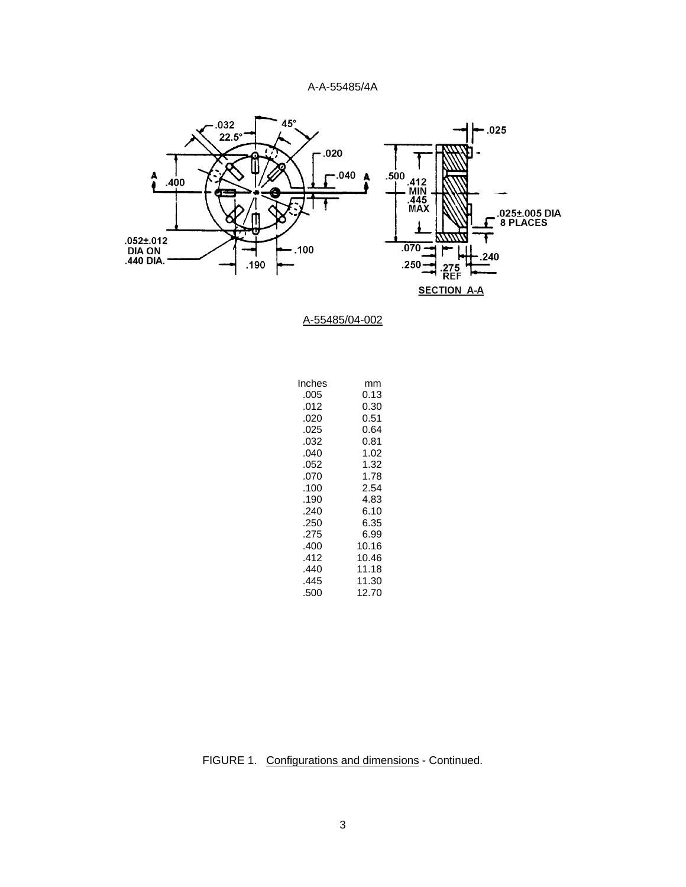

A-55485/04-002

| Inches | mm    |
|--------|-------|
| .005   | 0.13  |
| .012   | 0.30  |
| .020   | 0.51  |
| .025   | 0.64  |
| .032   | 0.81  |
| .040   | 1.02  |
| .052   | 1.32  |
| .070   | 1.78  |
| .100   | 2.54  |
| .190   | 4.83  |
| .240   | 6.10  |
| .250   | 6.35  |
| .275   | 6.99  |
| .400   | 10.16 |
| .412   | 10.46 |
| .440   | 11.18 |
| .445   | 11.30 |
| .500   | 12.70 |
|        |       |

FIGURE 1. Configurations and dimensions - Continued.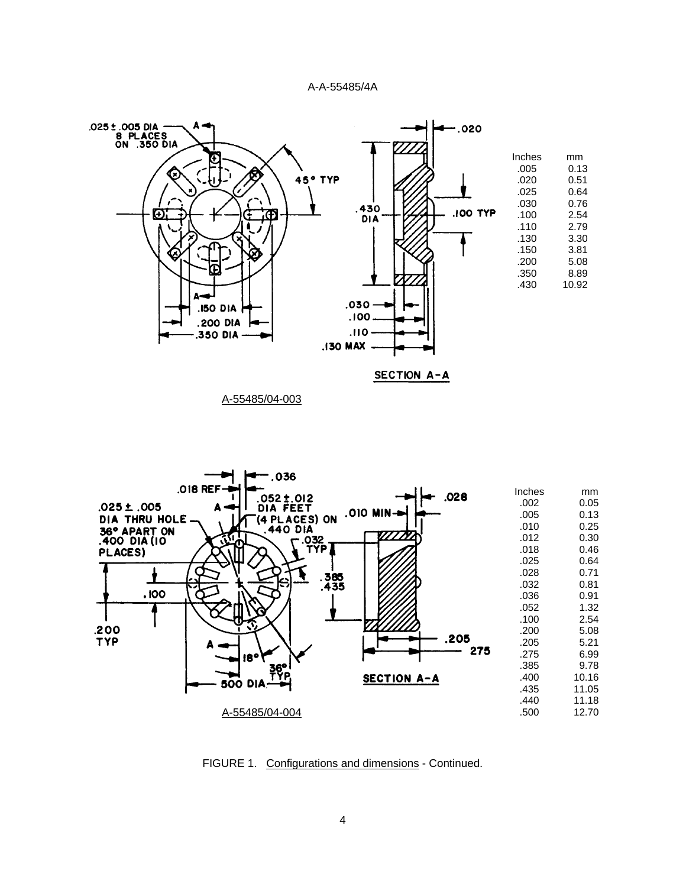



FIGURE 1. Configurations and dimensions - Continued.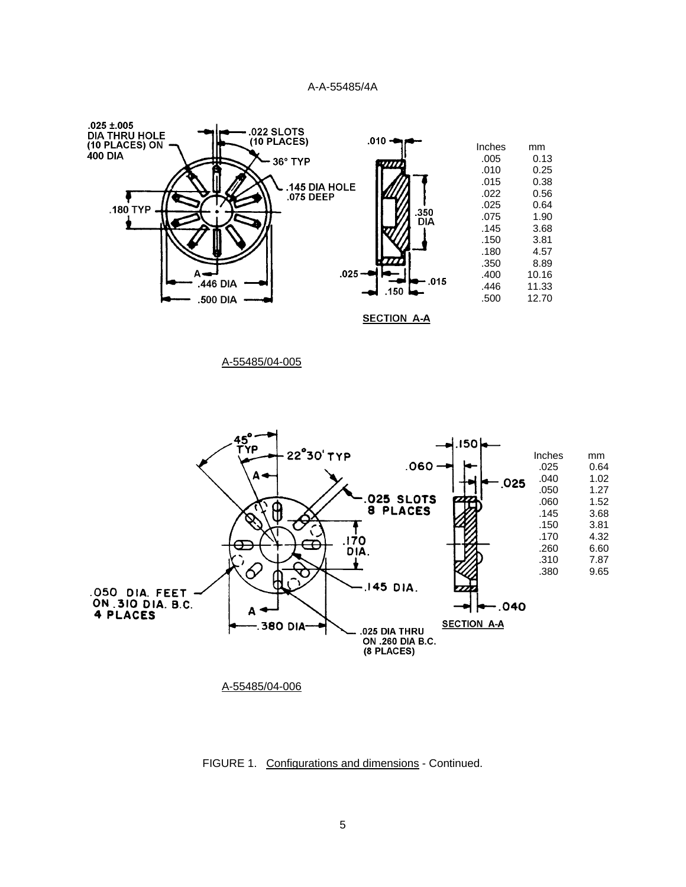

A-55485/04-005



FIGURE 1. Configurations and dimensions - Continued.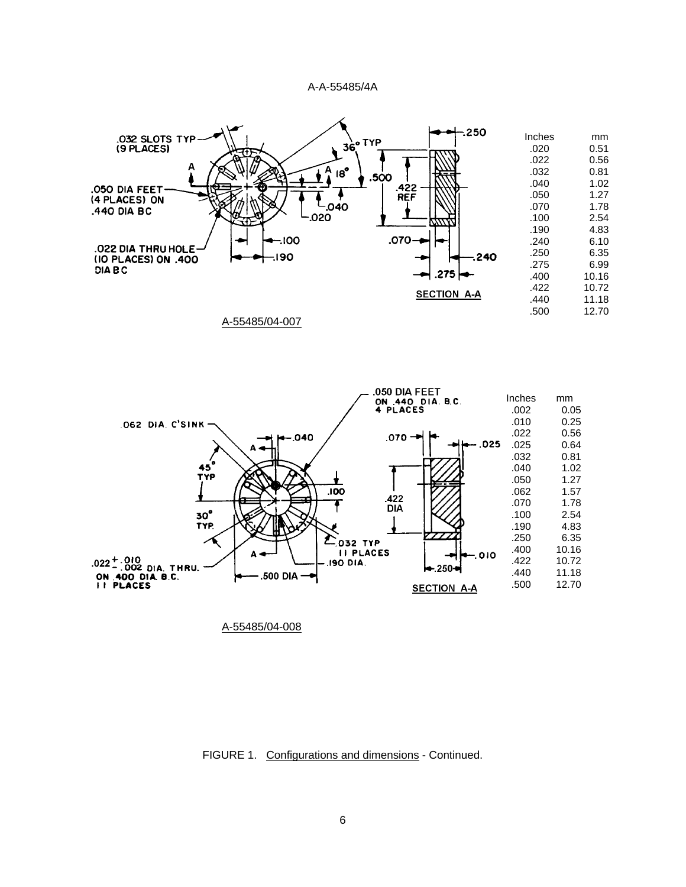

A-55485/04-007



FIGURE 1. Configurations and dimensions - Continued.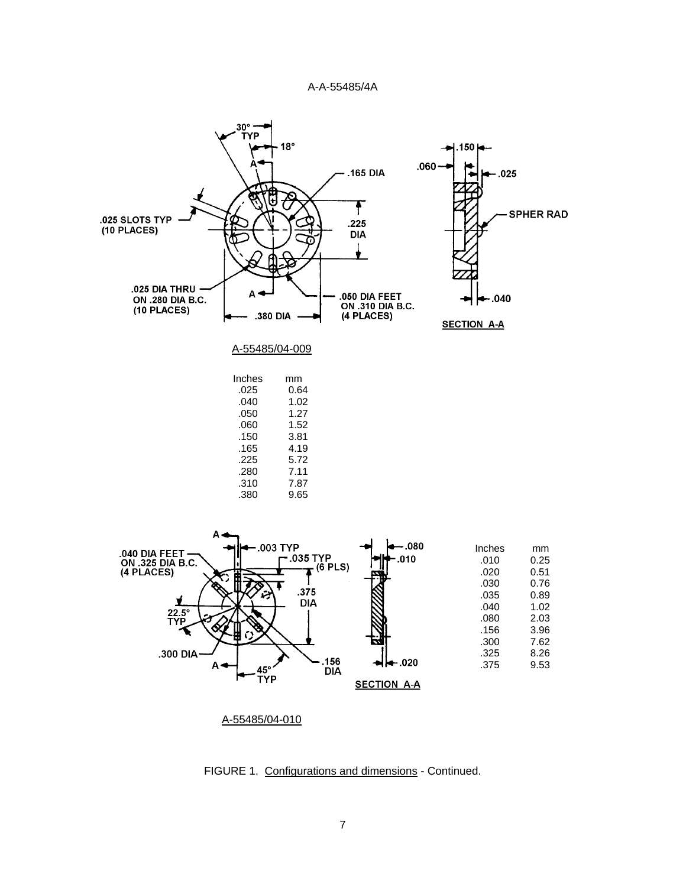



FIGURE 1. Configurations and dimensions - Continued.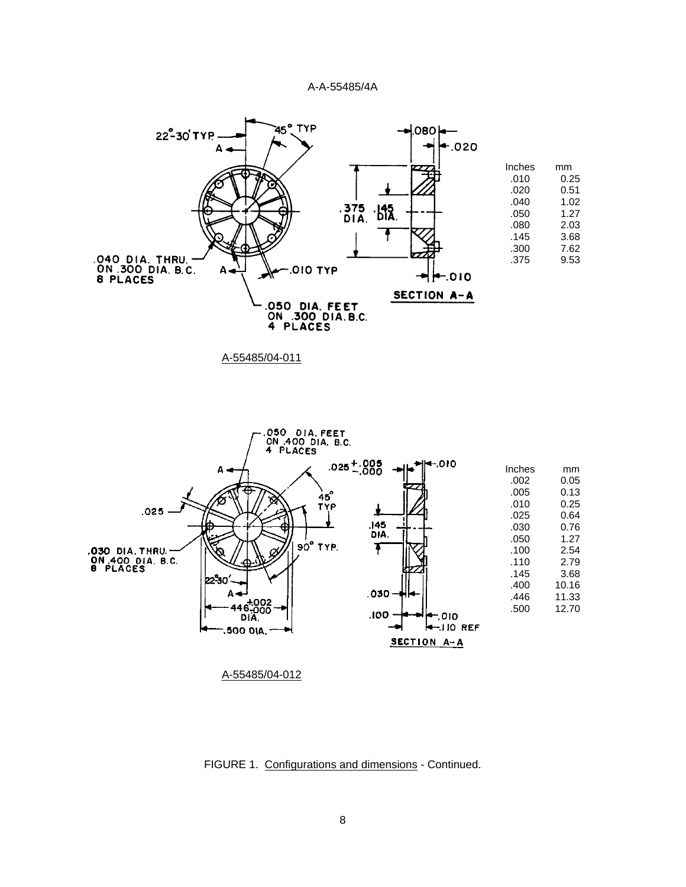

A-55485/04-011



FIGURE 1. Configurations and dimensions - Continued.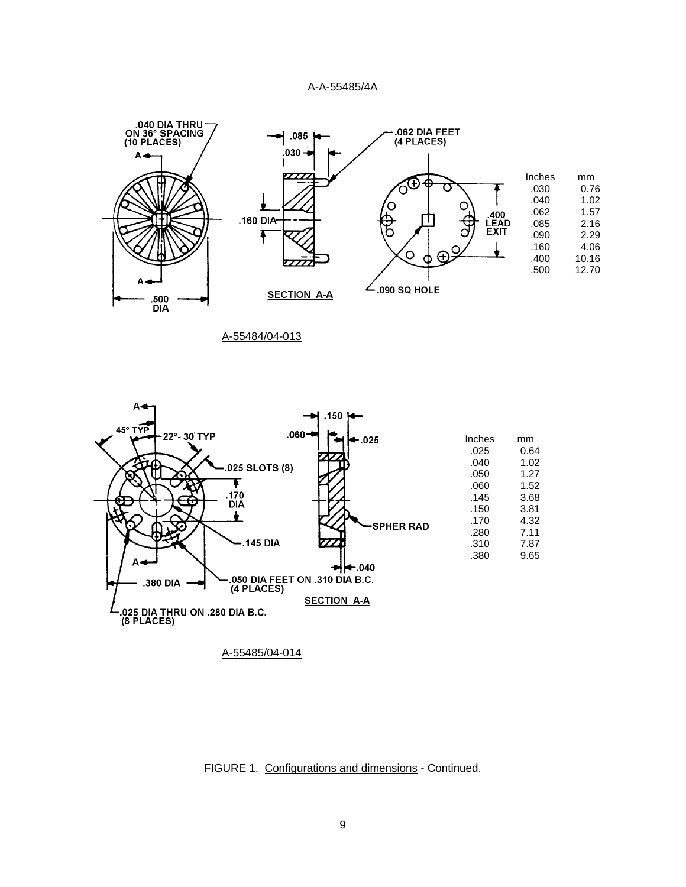

A-55484/04-013



FIGURE 1. Configurations and dimensions - Continued.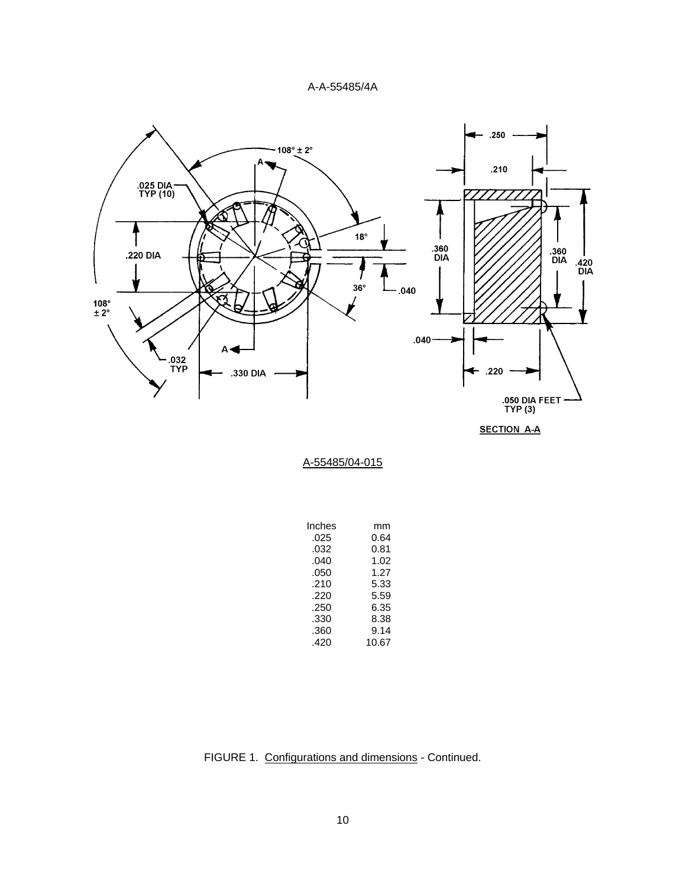

**SECTION A-A** 

| Inches | mm    |
|--------|-------|
| .025   | 0.64  |
| .032   | 0.81  |
| .040   | 1.02  |
| .050   | 1.27  |
| .210   | 5.33  |
| .220   | 5.59  |
| .250   | 6.35  |
| .330   | 8.38  |
| .360   | 9.14  |
| .420   | 10.67 |

FIGURE 1. Configurations and dimensions - Continued.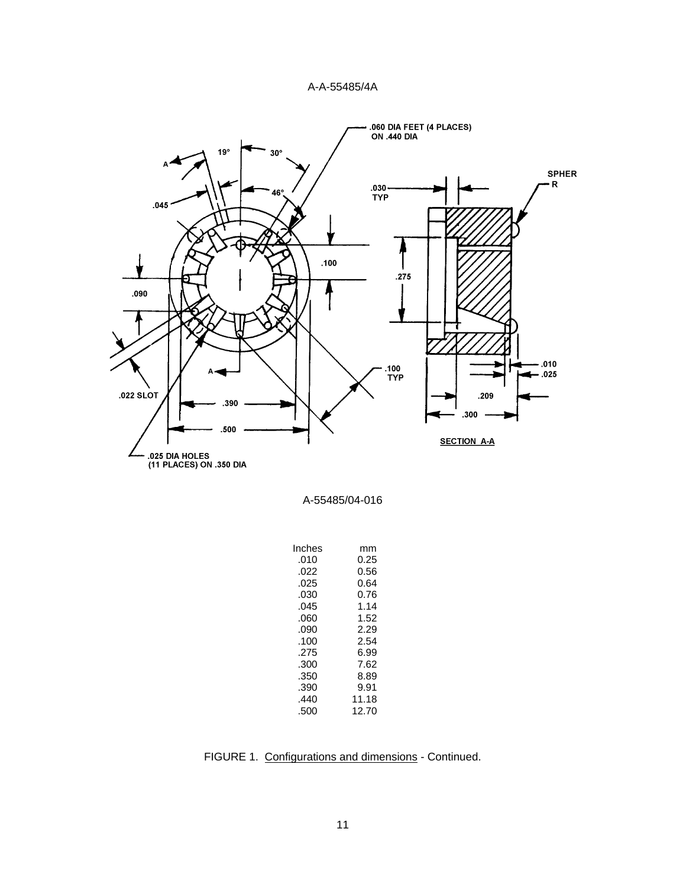

| Inches | mm    |
|--------|-------|
| .010   | 0.25  |
| .022   | 0.56  |
| .025   | 0.64  |
| .030   | 0.76  |
| .045   | 1.14  |
| .ററെ   | 1.52  |
| .090   | 2.29  |
| .100   | 2.54  |
| .275   | 6.99  |
| .300   | 7.62  |
| .350   | 8.89  |
| .390   | 9.91  |
| .440   | 11.18 |
| .500   | 12.70 |
|        |       |

FIGURE 1. Configurations and dimensions - Continued.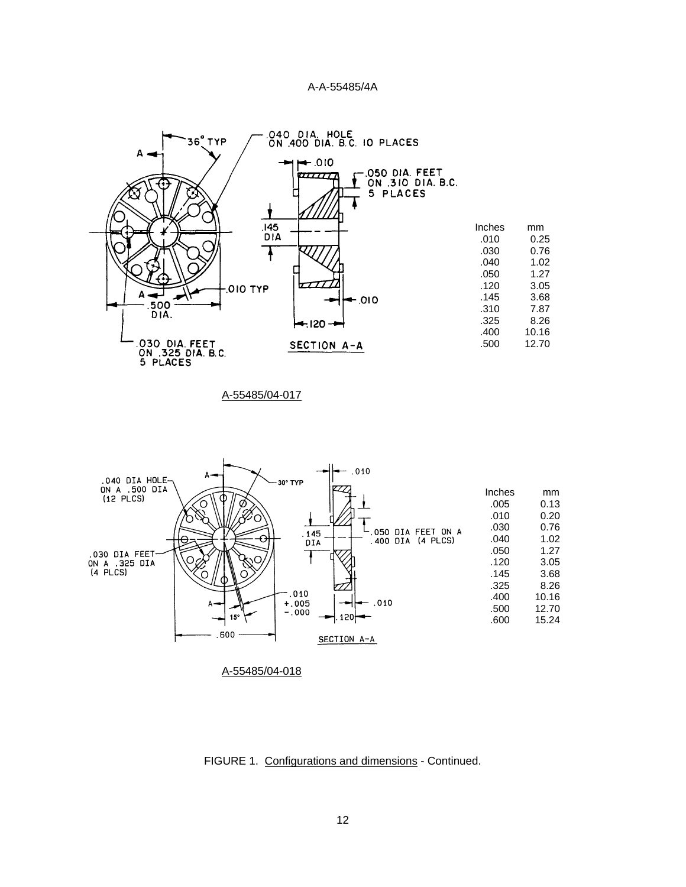

A-55485/04-017



FIGURE 1. Configurations and dimensions - Continued.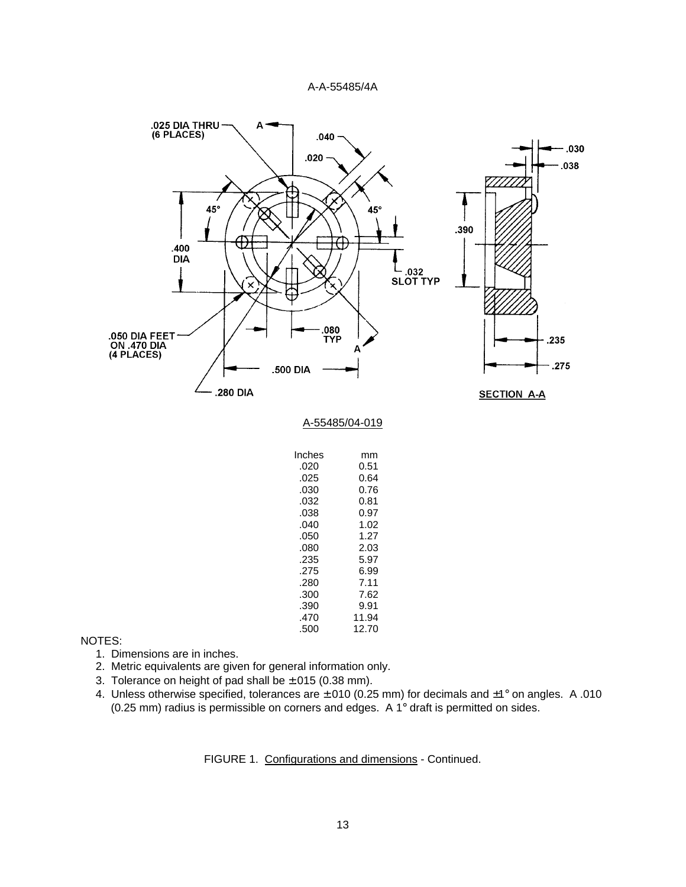

NOTES:

- 1. Dimensions are in inches.
- 2. Metric equivalents are given for general information only.
- 3. Tolerance on height of pad shall be ±.015 (0.38 mm).
- 4. Unless otherwise specified, tolerances are ±.010 (0.25 mm) for decimals and ±1° on angles. A .010 (0.25 mm) radius is permissible on corners and edges. A 1° draft is permitted on sides.

FIGURE 1. Configurations and dimensions - Continued.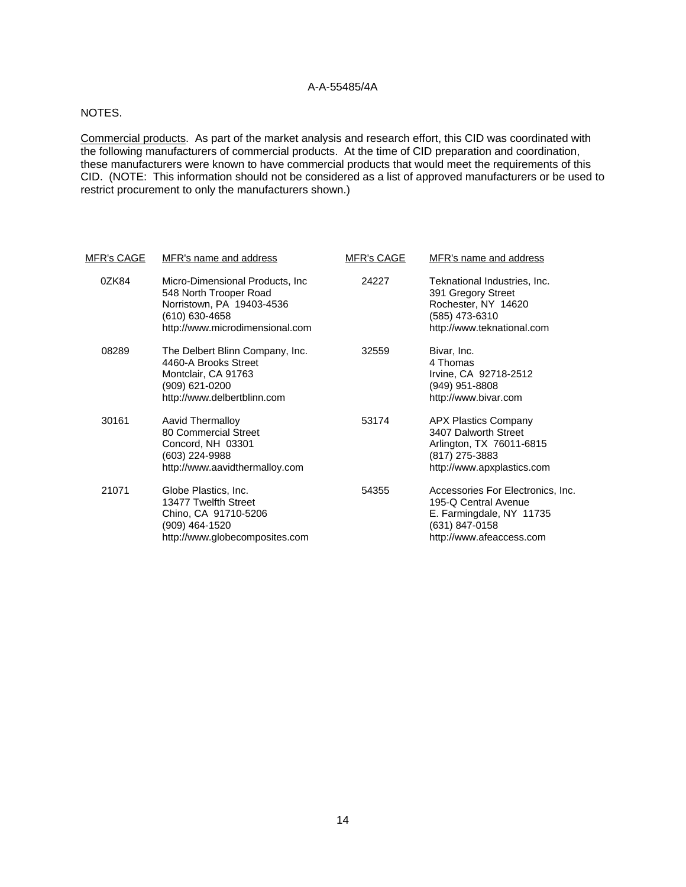# NOTES.

Commercial products. As part of the market analysis and research effort, this CID was coordinated with the following manufacturers of commercial products. At the time of CID preparation and coordination, these manufacturers were known to have commercial products that would meet the requirements of this CID. (NOTE: This information should not be considered as a list of approved manufacturers or be used to restrict procurement to only the manufacturers shown.)

| <u>MFR's CAGE</u> | MFR's name and address                                                                                                                       | <b>MFR's CAGE</b> | MFR's name and address                                                                                                              |  |  |
|-------------------|----------------------------------------------------------------------------------------------------------------------------------------------|-------------------|-------------------------------------------------------------------------------------------------------------------------------------|--|--|
| 0ZK84             | Micro-Dimensional Products, Inc.<br>548 North Trooper Road<br>Norristown, PA 19403-4536<br>(610) 630-4658<br>http://www.microdimensional.com | 24227             | Teknational Industries, Inc.<br>391 Gregory Street<br>Rochester, NY 14620<br>(585) 473-6310<br>http://www.teknational.com           |  |  |
| 08289             | The Delbert Blinn Company, Inc.<br>4460-A Brooks Street<br>Montclair, CA 91763<br>(909) 621-0200<br>http://www.delbertblinn.com              | 32559             | Bivar, Inc.<br>4 Thomas<br>Irvine, CA 92718-2512<br>(949) 951-8808<br>http://www.bivar.com                                          |  |  |
| 30161             | Aavid Thermalloy<br>80 Commercial Street<br>Concord, NH 03301<br>(603) 224-9988<br>http://www.aavidthermalloy.com                            | 53174             | <b>APX Plastics Company</b><br>3407 Dalworth Street<br>Arlington, TX 76011-6815<br>(817) 275-3883<br>http://www.apxplastics.com     |  |  |
| 21071             | Globe Plastics, Inc.<br>13477 Twelfth Street<br>Chino, CA 91710-5206<br>(909) 464-1520<br>http://www.globecomposites.com                     | 54355             | Accessories For Electronics, Inc.<br>195-Q Central Avenue<br>E. Farmingdale, NY 11735<br>(631) 847-0158<br>http://www.afeaccess.com |  |  |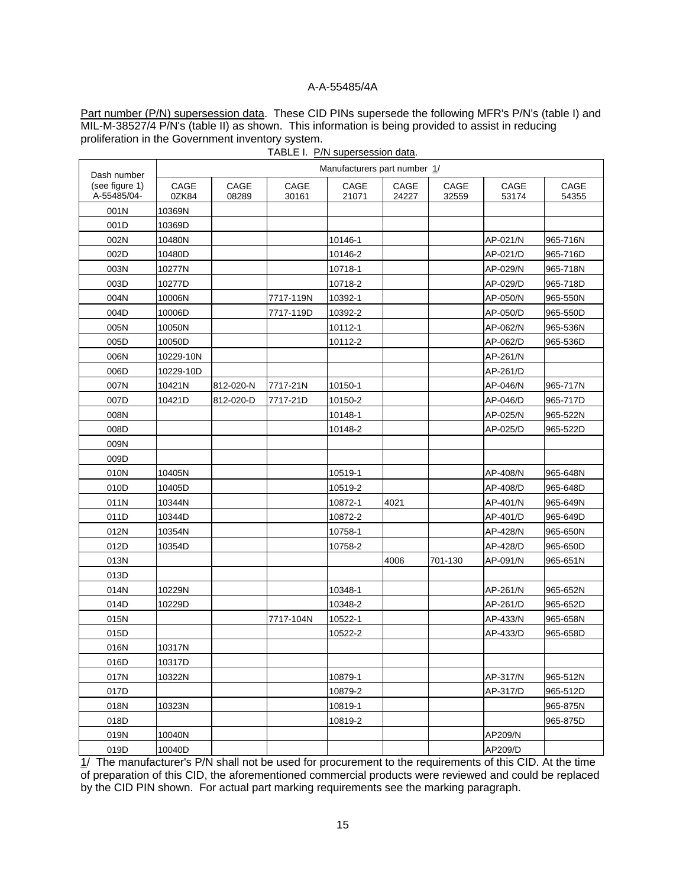Part number (P/N) supersession data. These CID PINs supersede the following MFR's P/N's (table I) and MIL-M-38527/4 P/N's (table II) as shown. This information is being provided to assist in reducing proliferation in the Government inventory system.

| Dash number                   | Manufacturers part number 1/ |               |               |               |               |                          |               |               |
|-------------------------------|------------------------------|---------------|---------------|---------------|---------------|--------------------------|---------------|---------------|
| (see figure 1)<br>A-55485/04- | CAGE<br>0ZK84                | CAGE<br>08289 | CAGE<br>30161 | CAGE<br>21071 | CAGE<br>24227 | $\mathsf{CAGE}$<br>32559 | CAGE<br>53174 | CAGE<br>54355 |
| 001N                          | 10369N                       |               |               |               |               |                          |               |               |
| 001D                          | 10369D                       |               |               |               |               |                          |               |               |
| 002N                          | 10480N                       |               |               | 10146-1       |               |                          | AP-021/N      | 965-716N      |
| 002D                          | 10480D                       |               |               | 10146-2       |               |                          | AP-021/D      | 965-716D      |
| 003N                          | 10277N                       |               |               | 10718-1       |               |                          | AP-029/N      | 965-718N      |
| 003D                          | 10277D                       |               |               | 10718-2       |               |                          | AP-029/D      | 965-718D      |
| 004N                          | 10006N                       |               | 7717-119N     | 10392-1       |               |                          | AP-050/N      | 965-550N      |
| 004D                          | 10006D                       |               | 7717-119D     | 10392-2       |               |                          | AP-050/D      | 965-550D      |
| 005N                          | 10050N                       |               |               | 10112-1       |               |                          | AP-062/N      | 965-536N      |
| 005D                          | 10050D                       |               |               | 10112-2       |               |                          | AP-062/D      | 965-536D      |
| 006N                          | 10229-10N                    |               |               |               |               |                          | AP-261/N      |               |
| 006D                          | 10229-10D                    |               |               |               |               |                          | AP-261/D      |               |
| 007N                          | 10421N                       | 812-020-N     | 7717-21N      | 10150-1       |               |                          | AP-046/N      | 965-717N      |
| 007D                          | 10421D                       | 812-020-D     | 7717-21D      | 10150-2       |               |                          | AP-046/D      | 965-717D      |
| 008N                          |                              |               |               | 10148-1       |               |                          | AP-025/N      | 965-522N      |
| 008D                          |                              |               |               | 10148-2       |               |                          | AP-025/D      | 965-522D      |
| 009N                          |                              |               |               |               |               |                          |               |               |
| 009D                          |                              |               |               |               |               |                          |               |               |
| 010N                          | 10405N                       |               |               | 10519-1       |               |                          | AP-408/N      | 965-648N      |
| 010D                          | 10405D                       |               |               | 10519-2       |               |                          | AP-408/D      | 965-648D      |
| 011N                          | 10344N                       |               |               | 10872-1       | 4021          |                          | AP-401/N      | 965-649N      |
| 011D                          | 10344D                       |               |               | 10872-2       |               |                          | AP-401/D      | 965-649D      |
| 012N                          | 10354N                       |               |               | 10758-1       |               |                          | AP-428/N      | 965-650N      |
| 012D                          | 10354D                       |               |               | 10758-2       |               |                          | AP-428/D      | 965-650D      |
| 013N                          |                              |               |               |               | 4006          | 701-130                  | AP-091/N      | 965-651N      |
| 013D                          |                              |               |               |               |               |                          |               |               |
| 014N                          | 10229N                       |               |               | 10348-1       |               |                          | AP-261/N      | 965-652N      |
| 014D                          | 10229D                       |               |               | 10348-2       |               |                          | AP-261/D      | 965-652D      |
| 015N                          |                              |               | 7717-104N     | 10522-1       |               |                          | AP-433/N      | 965-658N      |
| 015D                          |                              |               |               | 10522-2       |               |                          | AP-433/D      | 965-658D      |
| 016N                          | 10317N                       |               |               |               |               |                          |               |               |
| 016D                          | 10317D                       |               |               |               |               |                          |               |               |
| 017N                          | 10322N                       |               |               | 10879-1       |               |                          | AP-317/N      | 965-512N      |
| 017D                          |                              |               |               | 10879-2       |               |                          | AP-317/D      | 965-512D      |
| 018N                          | 10323N                       |               |               | 10819-1       |               |                          |               | 965-875N      |
| 018D                          |                              |               |               | 10819-2       |               |                          |               | 965-875D      |
| 019N                          | 10040N                       |               |               |               |               |                          | AP209/N       |               |
| 019D                          | 10040D                       |               |               |               |               |                          | AP209/D       |               |

TABLE I. P/N supersession data.

1/ The manufacturer's P/N shall not be used for procurement to the requirements of this CID. At the time of preparation of this CID, the aforementioned commercial products were reviewed and could be replaced by the CID PIN shown. For actual part marking requirements see the marking paragraph.